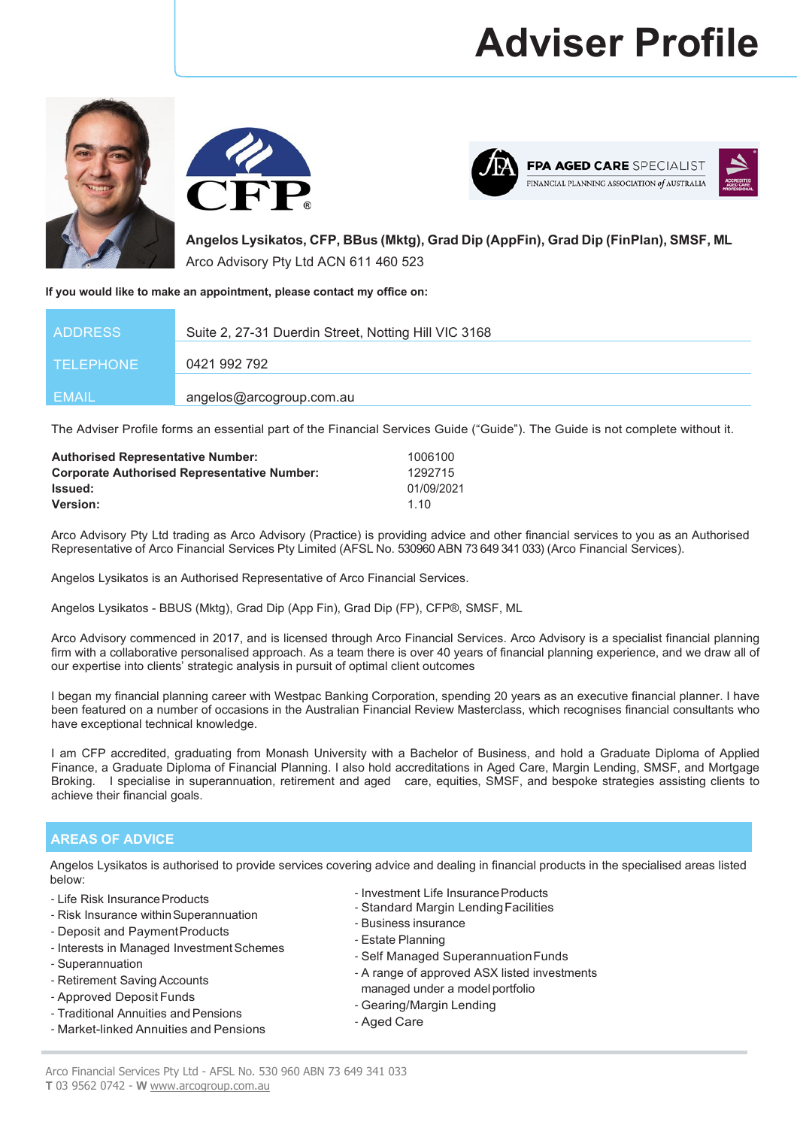# **Adviser Profile**







FPA AGED CARE SPECIALIST FINANCIAL PLANNING ASSOCIATION of AUSTRALIA



**Angelos Lysikatos, CFP, BBus (Mktg), Grad Dip (AppFin), Grad Dip (FinPlan), SMSF, ML**  Arco Advisory Pty Ltd ACN 611 460 523

### **If you would like to make an appointment, please contact my office on:**

| <b>ADDRESS</b>   | Suite 2, 27-31 Duerdin Street, Notting Hill VIC 3168 |
|------------------|------------------------------------------------------|
| <b>TELEPHONE</b> | 0421 992 792                                         |
| EMAIL            | angelos@arcogroup.com.au                             |

The Adviser Profile forms an essential part of the Financial Services Guide ("Guide"). The Guide is not complete without it.

| <b>Authorised Representative Number:</b>           | 1006100    |
|----------------------------------------------------|------------|
| <b>Corporate Authorised Representative Number:</b> | 1292715    |
| <b>Issued:</b>                                     | 01/09/2021 |
| <b>Version:</b>                                    | 110        |

Arco Advisory Pty Ltd trading as Arco Advisory (Practice) is providing advice and other financial services to you as an Authorised Representative of Arco Financial Services Pty Limited (AFSL No. 530960 ABN 73 649 341 033) (Arco Financial Services).

Angelos Lysikatos is an Authorised Representative of Arco Financial Services.

Angelos Lysikatos - BBUS (Mktg), Grad Dip (App Fin), Grad Dip (FP), CFP®, SMSF, ML

Arco Advisory commenced in 2017, and is licensed through Arco Financial Services. Arco Advisory is a specialist financial planning firm with a collaborative personalised approach. As a team there is over 40 years of financial planning experience, and we draw all of our expertise into clients' strategic analysis in pursuit of optimal client outcomes

I began my financial planning career with Westpac Banking Corporation, spending 20 years as an executive financial planner. I have been featured on a number of occasions in the Australian Financial Review Masterclass, which recognises financial consultants who have exceptional technical knowledge.

I am CFP accredited, graduating from Monash University with a Bachelor of Business, and hold a Graduate Diploma of Applied Finance, a Graduate Diploma of Financial Planning. I also hold accreditations in Aged Care, Margin Lending, SMSF, and Mortgage Broking. I specialise in superannuation, retirement and aged care, equities, SMSF, and bespoke strategies assisting clients to achieve their financial goals.

## **AREAS OF ADVICE**

Angelos Lysikatos is authorised to provide services covering advice and dealing in financial products in the specialised areas listed below:

- Life Risk Insurance Products
- Risk Insurance withinSuperannuation
- Deposit and PaymentProducts
- Interests in Managed Investment Schemes
- Superannuation
- Retirement Saving Accounts
- Approved Deposit Funds
- Traditional Annuities and Pensions
- Market-linked Annuities and Pensions
- Investment Life InsuranceProducts
- Standard Margin LendingFacilities
- Business insurance
- Estate Planning
- Self Managed SuperannuationFunds
- A range of approved ASX listed investments managed under a model portfolio
- Gearing/Margin Lending
- Aged Care